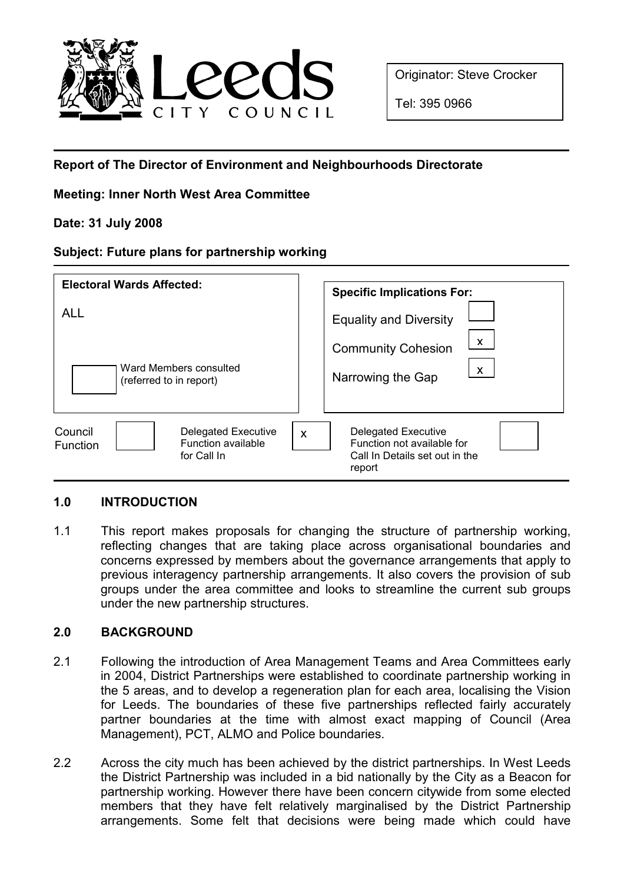

Originator: Steve Crocker

Tel: 395 0966

# Report of The Director of Environment and Neighbourhoods Directorate

# Meeting: Inner North West Area Committee

## Date: 31 July 2008

#### Subject: Future plans for partnership working

| <b>Electoral Wards Affected:</b>                                                                     | <b>Specific Implications For:</b>                                                                                 |
|------------------------------------------------------------------------------------------------------|-------------------------------------------------------------------------------------------------------------------|
| <b>ALL</b><br>Ward Members consulted<br>(referred to in report)                                      | <b>Equality and Diversity</b><br>$\boldsymbol{\mathsf{X}}$<br><b>Community Cohesion</b><br>X<br>Narrowing the Gap |
| Council<br><b>Delegated Executive</b><br><b>Function available</b><br><b>Function</b><br>for Call In | <b>Delegated Executive</b><br>X<br>Function not available for<br>Call In Details set out in the<br>report         |

## 1.0 INTRODUCTION

1.1 This report makes proposals for changing the structure of partnership working, reflecting changes that are taking place across organisational boundaries and concerns expressed by members about the governance arrangements that apply to previous interagency partnership arrangements. It also covers the provision of sub groups under the area committee and looks to streamline the current sub groups under the new partnership structures.

## 2.0 BACKGROUND

- 2.1 Following the introduction of Area Management Teams and Area Committees early in 2004, District Partnerships were established to coordinate partnership working in the 5 areas, and to develop a regeneration plan for each area, localising the Vision for Leeds. The boundaries of these five partnerships reflected fairly accurately partner boundaries at the time with almost exact mapping of Council (Area Management), PCT, ALMO and Police boundaries.
- 2.2 Across the city much has been achieved by the district partnerships. In West Leeds the District Partnership was included in a bid nationally by the City as a Beacon for partnership working. However there have been concern citywide from some elected members that they have felt relatively marginalised by the District Partnership arrangements. Some felt that decisions were being made which could have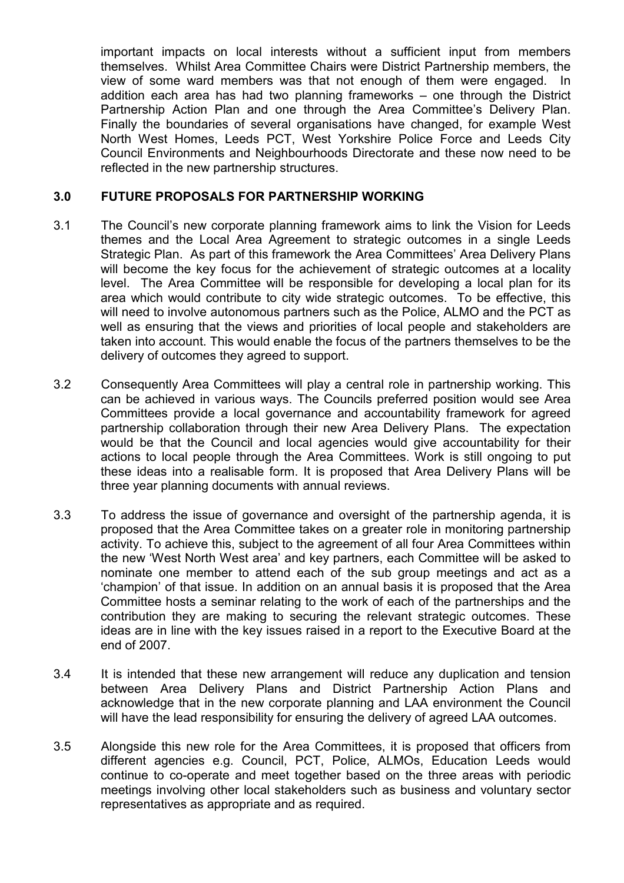important impacts on local interests without a sufficient input from members themselves. Whilst Area Committee Chairs were District Partnership members, the view of some ward members was that not enough of them were engaged. In addition each area has had two planning frameworks – one through the District Partnership Action Plan and one through the Area Committee's Delivery Plan. Finally the boundaries of several organisations have changed, for example West North West Homes, Leeds PCT, West Yorkshire Police Force and Leeds City Council Environments and Neighbourhoods Directorate and these now need to be reflected in the new partnership structures.

### 3.0 FUTURE PROPOSALS FOR PARTNERSHIP WORKING

- 3.1 The Council's new corporate planning framework aims to link the Vision for Leeds themes and the Local Area Agreement to strategic outcomes in a single Leeds Strategic Plan. As part of this framework the Area Committees' Area Delivery Plans will become the key focus for the achievement of strategic outcomes at a locality level. The Area Committee will be responsible for developing a local plan for its area which would contribute to city wide strategic outcomes. To be effective, this will need to involve autonomous partners such as the Police, ALMO and the PCT as well as ensuring that the views and priorities of local people and stakeholders are taken into account. This would enable the focus of the partners themselves to be the delivery of outcomes they agreed to support.
- 3.2 Consequently Area Committees will play a central role in partnership working. This can be achieved in various ways. The Councils preferred position would see Area Committees provide a local governance and accountability framework for agreed partnership collaboration through their new Area Delivery Plans. The expectation would be that the Council and local agencies would give accountability for their actions to local people through the Area Committees. Work is still ongoing to put these ideas into a realisable form. It is proposed that Area Delivery Plans will be three year planning documents with annual reviews.
- 3.3 To address the issue of governance and oversight of the partnership agenda, it is proposed that the Area Committee takes on a greater role in monitoring partnership activity. To achieve this, subject to the agreement of all four Area Committees within the new 'West North West area' and key partners, each Committee will be asked to nominate one member to attend each of the sub group meetings and act as a 'champion' of that issue. In addition on an annual basis it is proposed that the Area Committee hosts a seminar relating to the work of each of the partnerships and the contribution they are making to securing the relevant strategic outcomes. These ideas are in line with the key issues raised in a report to the Executive Board at the end of 2007.
- 3.4 It is intended that these new arrangement will reduce any duplication and tension between Area Delivery Plans and District Partnership Action Plans and acknowledge that in the new corporate planning and LAA environment the Council will have the lead responsibility for ensuring the delivery of agreed LAA outcomes.
- 3.5 Alongside this new role for the Area Committees, it is proposed that officers from different agencies e.g. Council, PCT, Police, ALMOs, Education Leeds would continue to co-operate and meet together based on the three areas with periodic meetings involving other local stakeholders such as business and voluntary sector representatives as appropriate and as required.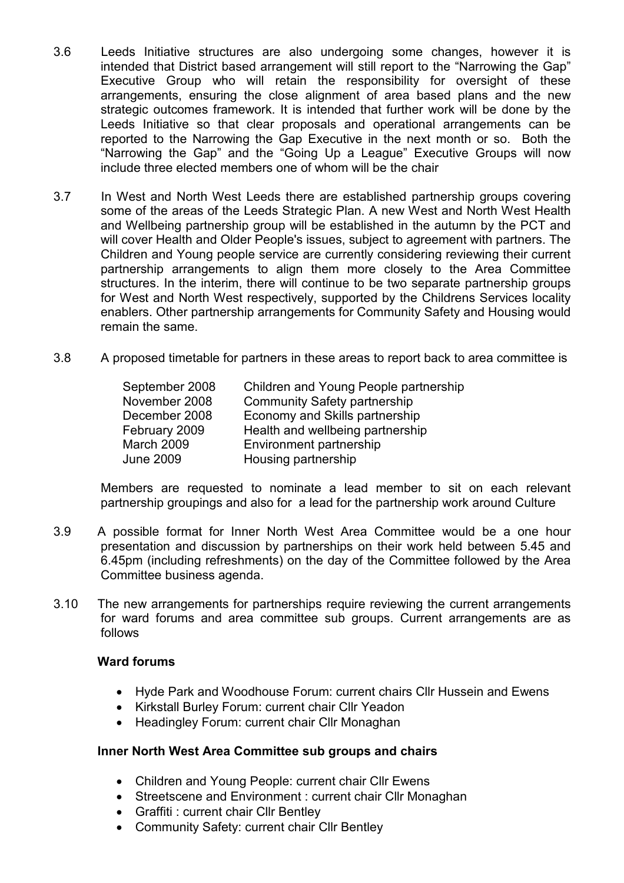- 3.6 Leeds Initiative structures are also undergoing some changes, however it is intended that District based arrangement will still report to the "Narrowing the Gap" Executive Group who will retain the responsibility for oversight of these arrangements, ensuring the close alignment of area based plans and the new strategic outcomes framework. It is intended that further work will be done by the Leeds Initiative so that clear proposals and operational arrangements can be reported to the Narrowing the Gap Executive in the next month or so. Both the "Narrowing the Gap" and the "Going Up a League" Executive Groups will now include three elected members one of whom will be the chair
- 3.7 In West and North West Leeds there are established partnership groups covering some of the areas of the Leeds Strategic Plan. A new West and North West Health and Wellbeing partnership group will be established in the autumn by the PCT and will cover Health and Older People's issues, subject to agreement with partners. The Children and Young people service are currently considering reviewing their current partnership arrangements to align them more closely to the Area Committee structures. In the interim, there will continue to be two separate partnership groups for West and North West respectively, supported by the Childrens Services locality enablers. Other partnership arrangements for Community Safety and Housing would remain the same.
- 3.8 A proposed timetable for partners in these areas to report back to area committee is

| September 2008   | Children and Young People partnership |
|------------------|---------------------------------------|
| November 2008    | <b>Community Safety partnership</b>   |
| December 2008    | Economy and Skills partnership        |
| February 2009    | Health and wellbeing partnership      |
| March 2009       | Environment partnership               |
| <b>June 2009</b> | Housing partnership                   |

 Members are requested to nominate a lead member to sit on each relevant partnership groupings and also for a lead for the partnership work around Culture

- 3.9 A possible format for Inner North West Area Committee would be a one hour presentation and discussion by partnerships on their work held between 5.45 and 6.45pm (including refreshments) on the day of the Committee followed by the Area Committee business agenda.
- 3.10 The new arrangements for partnerships require reviewing the current arrangements for ward forums and area committee sub groups. Current arrangements are as follows

### Ward forums

- Hyde Park and Woodhouse Forum: current chairs Cllr Hussein and Ewens
- Kirkstall Burley Forum: current chair Cllr Yeadon
- Headingley Forum: current chair Cllr Monaghan

#### Inner North West Area Committee sub groups and chairs

- Children and Young People: current chair Cllr Ewens
- Streetscene and Environment : current chair Cllr Monaghan
- Graffiti : current chair Cllr Bentley
- Community Safety: current chair Cllr Bentley